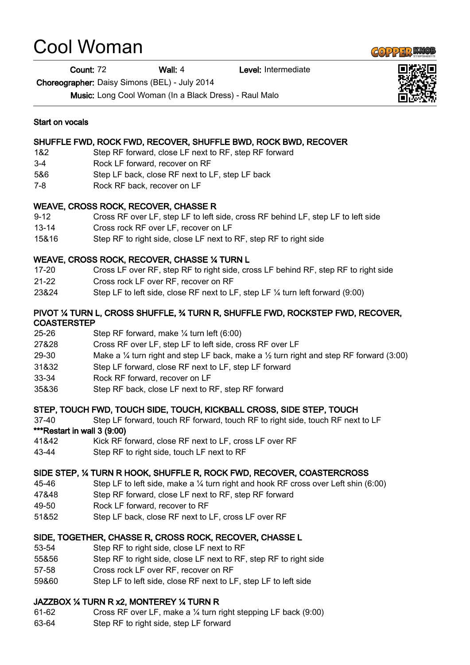# Cool Woman

Count: 72 Wall: 4 Level: Intermediate

Choreographer: Daisy Simons (BEL) - July 2014

Music: Long Cool Woman (In a Black Dress) - Raul Malo

#### Start on vocals

#### SHUFFLE FWD, ROCK FWD, RECOVER, SHUFFLE BWD, ROCK BWD, RECOVER

- 1&2 Step RF forward, close LF next to RF, step RF forward
- 3-4 Rock LF forward, recover on RF
- 5&6 Step LF back, close RF next to LF, step LF back
- 7-8 Rock RF back, recover on LF

#### WEAVE, CROSS ROCK, RECOVER, CHASSE R

- 9-12 Cross RF over LF, step LF to left side, cross RF behind LF, step LF to left side
- 13-14 Cross rock RF over LF, recover on LF
- 15&16 Step RF to right side, close LF next to RF, step RF to right side

### WEAVE, CROSS ROCK, RECOVER, CHASSE ¼ TURN L

- 17-20 Cross LF over RF, step RF to right side, cross LF behind RF, step RF to right side
- 21-22 Cross rock LF over RF, recover on RF
- 23&24 Step LF to left side, close RF next to LF, step LF ¼ turn left forward (9:00)

#### PIVOT ¼ TURN L, CROSS SHUFFLE, ¾ TURN R, SHUFFLE FWD, ROCKSTEP FWD, RECOVER, **COASTERSTEP**

- 25-26 Step RF forward, make ¼ turn left (6:00)
- 27&28 Cross RF over LF, step LF to left side, cross RF over LF
- 29-30 Make a  $\frac{1}{4}$  turn right and step LF back, make a  $\frac{1}{2}$  turn right and step RF forward (3:00)
- 31&32 Step LF forward, close RF next to LF, step LF forward
- 33-34 Rock RF forward, recover on LF
- 35&36 Step RF back, close LF next to RF, step RF forward

#### STEP, TOUCH FWD, TOUCH SIDE, TOUCH, KICKBALL CROSS, SIDE STEP, TOUCH

37-40 Step LF forward, touch RF forward, touch RF to right side, touch RF next to LF

#### \*\*\*Restart in wall 3 (9:00)

- 41&42 Kick RF forward, close RF next to LF, cross LF over RF
- 43-44 Step RF to right side, touch LF next to RF

#### SIDE STEP, ¼ TURN R HOOK, SHUFFLE R, ROCK FWD, RECOVER, COASTERCROSS

- 45-46 Step LF to left side, make a ¼ turn right and hook RF cross over Left shin (6:00)
- 47&48 Step RF forward, close LF next to RF, step RF forward
- 49-50 Rock LF forward, recover to RF
- 51&52 Step LF back, close RF next to LF, cross LF over RF

#### SIDE, TOGETHER, CHASSE R, CROSS ROCK, RECOVER, CHASSE L

- 53-54 Step RF to right side, close LF next to RF
- 55&56 Step RF to right side, close LF next to RF, step RF to right side
- 57-58 Cross rock LF over RF, recover on RF
- 59&60 Step LF to left side, close RF next to LF, step LF to left side

#### JAZZBOX ¼ TURN R x2, MONTEREY ¼ TURN R

- 61-62 Cross RF over LF, make a ¼ turn right stepping LF back (9:00)
- 63-64 Step RF to right side, step LF forward